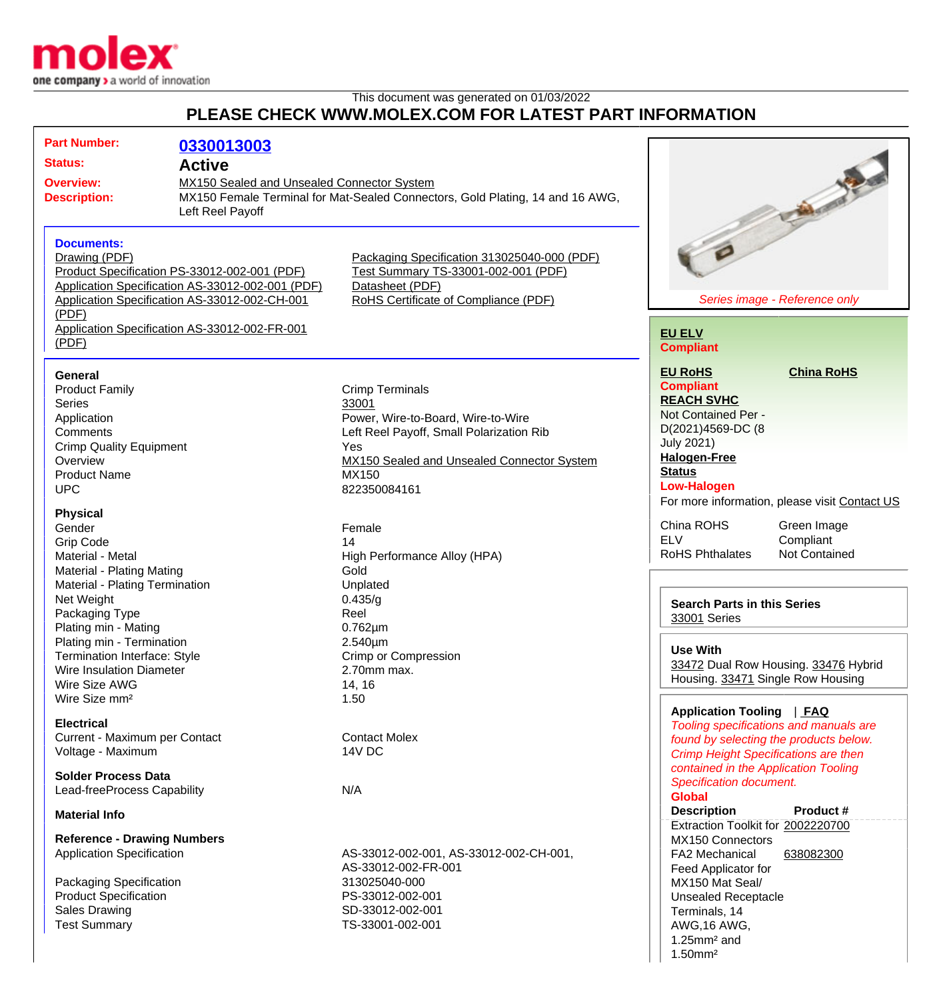

## This document was generated on 01/03/2022 **PLEASE CHECK WWW.MOLEX.COM FOR LATEST PART INFORMATION**

| <b>Part Number:</b><br><b>Status:</b><br><b>Overview:</b><br><b>Description:</b>                                                                                                                         | 0330013003<br><b>Active</b><br>MX150 Sealed and Unsealed Connector System<br>Left Reel Payoff                                                                                                      | MX150 Female Terminal for Mat-Sealed Connectors, Gold Plating, 14 and 16 AWG,                                                                                                                   | <b>Charles Company</b>                                                                                                                                                                                                                                                                                           |
|----------------------------------------------------------------------------------------------------------------------------------------------------------------------------------------------------------|----------------------------------------------------------------------------------------------------------------------------------------------------------------------------------------------------|-------------------------------------------------------------------------------------------------------------------------------------------------------------------------------------------------|------------------------------------------------------------------------------------------------------------------------------------------------------------------------------------------------------------------------------------------------------------------------------------------------------------------|
| <b>Documents:</b><br>Drawing (PDF)<br>(PDF)<br>(PDF)                                                                                                                                                     | Product Specification PS-33012-002-001 (PDF)<br>Application Specification AS-33012-002-001 (PDF)<br>Application Specification AS-33012-002-CH-001<br>Application Specification AS-33012-002-FR-001 | Packaging Specification 313025040-000 (PDF)<br>Test Summary TS-33001-002-001 (PDF)<br>Datasheet (PDF)<br>RoHS Certificate of Compliance (PDF)                                                   | Series image - Reference only<br><b>EU ELV</b><br><b>Compliant</b>                                                                                                                                                                                                                                               |
| General<br><b>Product Family</b><br><b>Series</b><br>Application<br>Comments<br><b>Crimp Quality Equipment</b><br>Overview<br><b>Product Name</b><br><b>UPC</b>                                          |                                                                                                                                                                                                    | <b>Crimp Terminals</b><br>33001<br>Power, Wire-to-Board, Wire-to-Wire<br>Left Reel Payoff, Small Polarization Rib<br>Yes<br>MX150 Sealed and Unsealed Connector System<br>MX150<br>822350084161 | <b>EU RoHS</b><br><b>China RoHS</b><br><b>Compliant</b><br><b>REACH SVHC</b><br>Not Contained Per -<br>D(2021)4569-DC (8<br><b>July 2021)</b><br><b>Halogen-Free</b><br><b>Status</b><br><b>Low-Halogen</b>                                                                                                      |
| <b>Physical</b><br>Gender<br><b>Grip Code</b><br>Material - Metal<br>Material - Plating Mating<br>Material - Plating Termination<br>Net Weight<br>Packaging Type                                         |                                                                                                                                                                                                    | Female<br>14<br>High Performance Alloy (HPA)<br>Gold<br>Unplated<br>0.435/g<br>Reel                                                                                                             | For more information, please visit Contact US<br>China ROHS<br>Green Image<br><b>ELV</b><br>Compliant<br><b>RoHS Phthalates</b><br>Not Contained<br><b>Search Parts in this Series</b><br>33001 Series                                                                                                           |
| Plating min - Mating<br>Plating min - Termination<br>Termination Interface: Style<br>Wire Insulation Diameter<br>Wire Size AWG<br>Wire Size mm <sup>2</sup>                                              |                                                                                                                                                                                                    | $0.762 \mu m$<br>$2.540 \mu m$<br>Crimp or Compression<br>2.70mm max.<br>14, 16<br>1.50                                                                                                         | <b>Use With</b><br>33472 Dual Row Housing. 33476 Hybrid<br>Housing. 33471 Single Row Housing<br>Application Tooling   FAQ                                                                                                                                                                                        |
| <b>Electrical</b><br>Current - Maximum per Contact<br>Voltage - Maximum<br><b>Solder Process Data</b><br>Lead-freeProcess Capability                                                                     |                                                                                                                                                                                                    | <b>Contact Molex</b><br><b>14V DC</b><br>N/A                                                                                                                                                    | Tooling specifications and manuals are<br>found by selecting the products below.<br><b>Crimp Height Specifications are then</b><br>contained in the Application Tooling<br>Specification document.                                                                                                               |
| <b>Material Info</b><br><b>Reference - Drawing Numbers</b><br><b>Application Specification</b><br>Packaging Specification<br><b>Product Specification</b><br><b>Sales Drawing</b><br><b>Test Summary</b> |                                                                                                                                                                                                    | AS-33012-002-001, AS-33012-002-CH-001,<br>AS-33012-002-FR-001<br>313025040-000<br>PS-33012-002-001<br>SD-33012-002-001<br>TS-33001-002-001                                                      | <b>Global</b><br><b>Description</b><br>Product #<br>Extraction Toolkit for 2002220700<br>MX150 Connectors<br>638082300<br><b>FA2 Mechanical</b><br>Feed Applicator for<br>MX150 Mat Seal/<br><b>Unsealed Receptacle</b><br>Terminals, 14<br>AWG, 16 AWG,<br>$1.25$ mm <sup>2</sup> and<br>$1.50$ mm <sup>2</sup> |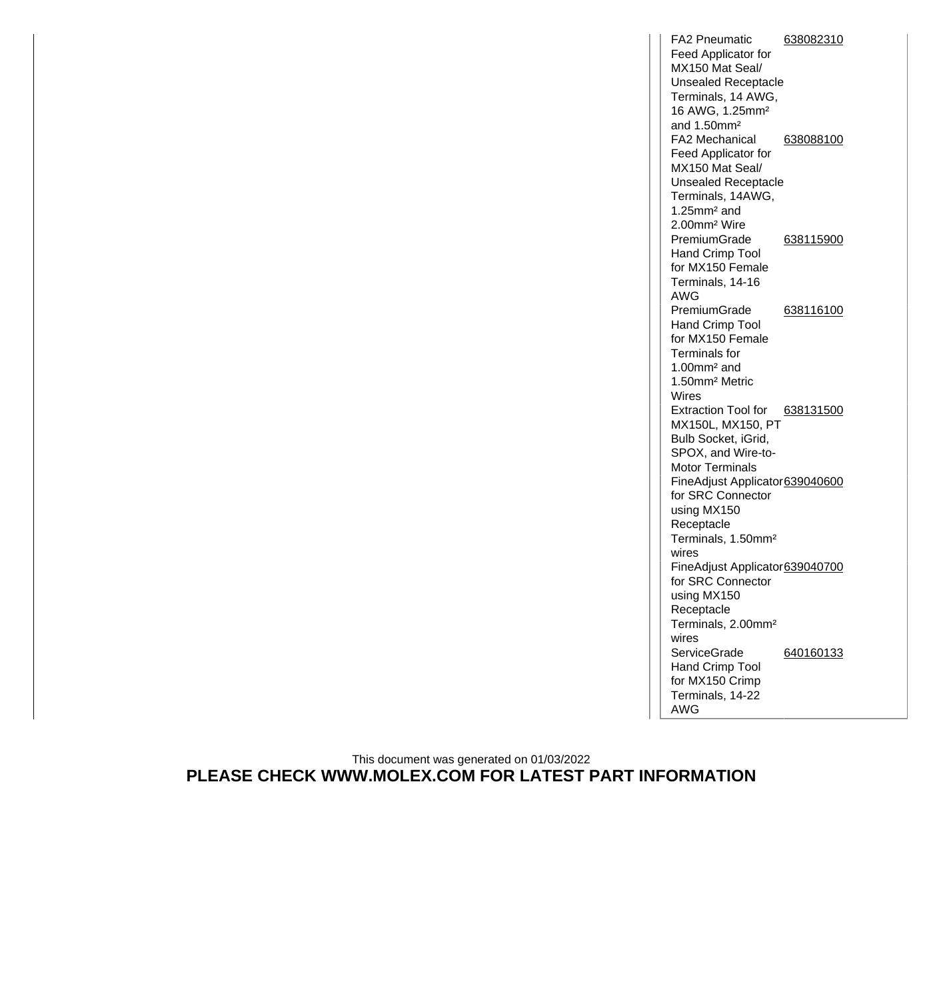FA2 Pneumatic Feed Applicator for MX150 Mat Seal/ Unsealed Receptacle Terminals, 14 AWG, 16 AWG, 1.25mm² and 1.50mm² [638082310](http://www.molex.com/molex/products/datasheet.jsp?part=active/0638082310_APPLICATION_TOOLIN.xml) FA2 Mechanical Feed Applicator for MX150 Mat Seal/ Unsealed Receptacle Terminals, 14AWG, 1.25mm² and 2.00mm² Wire [638088100](http://www.molex.com/molex/products/datasheet.jsp?part=active/0638088100_APPLICATION_TOOLIN.xml) PremiumGrade Hand Crimp Tool for MX150 Female Terminals, 14-16 AWG [638115900](http://www.molex.com/molex/products/datasheet.jsp?part=active/0638115900_APPLICATION_TOOLIN.xml) PremiumGrade Hand Crimp Tool for MX150 Female Terminals for 1.00mm² and 1.50mm² Metric Wires [638116100](http://www.molex.com/molex/products/datasheet.jsp?part=active/0638116100_APPLICATION_TOOLIN.xml) Extraction Tool for [638131500](http://www.molex.com/molex/products/datasheet.jsp?part=active/0638131500_APPLICATION_TOOLIN.xml) MX150L, MX150, PT Bulb Socket, iGrid, SPOX, and Wire-to-Motor Terminals FineAdjust Applicator [639040600](http://www.molex.com/molex/products/datasheet.jsp?part=active/0639040600_APPLICATION_TOOLIN.xml) for SRC Connector using MX150 Receptacle Terminals, 1.50mm² wires FineAdjust Applicator [639040700](http://www.molex.com/molex/products/datasheet.jsp?part=active/0639040700_APPLICATION_TOOLIN.xml) for SRC Connector using MX150 Receptacle Terminals, 2.00mm² wires **ServiceGrade** Hand Crimp Tool for MX150 Crimp Terminals, 14-22 AWG [640160133](http://www.molex.com/molex/products/datasheet.jsp?part=active/0640160133_APPLICATION_TOOLIN.xml)

This document was generated on 01/03/2022 **PLEASE CHECK WWW.MOLEX.COM FOR LATEST PART INFORMATION**